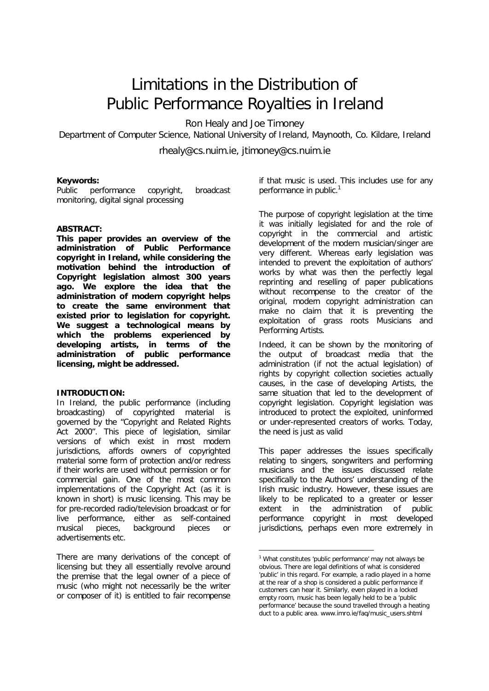# Limitations in the Distribution of Public Performance Royalties in Ireland

Ron Healy and Joe Timoney

Department of Computer Science, National University of Ireland, Maynooth, Co. Kildare, Ireland

rhealy@cs.nuim.ie, jtimoney@cs.nuim.ie

# **Keywords:**

*Public performance copyright, broadcast monitoring, digital signal processing*

## **ABSTRACT:**

**This paper provides an overview of the administration of Public Performance copyright in Ireland, while considering the motivation behind the introduction of Copyright legislation almost 300 years ago. We explore the idea that the**  *administration* **of modern copyright helps to create the same environment that existed prior to legislation for copyright. We suggest a technological means by which the problems experienced by developing artists, in terms of the administration of public performance licensing, might be addressed.**

#### **INTRODUCTION:**

In Ireland, the public performance (including broadcasting) of copyrighted material is governed by the "Copyright and Related Rights Act 2000". This piece of legislation, similar versions of which exist in most modern jurisdictions, affords owners of copyrighted material some form of protection and/or redress if their works are used without permission or for commercial gain. One of the most common implementations of the Copyright Act (as it is known in short) is music licensing. This may be for pre-recorded radio/television broadcast or for live performance, either as self-contained musical pieces, background pieces or advertisements etc.

There are many derivations of the concept of licensing but they all essentially revolve around the premise that the legal owner of a piece of music (who might not necessarily be the writer or composer of it) is entitled to fair recompense

if that music is used. This includes use for any performance in public.<sup>1</sup>

The purpose of copyright legislation at the time it was initially legislated for and the role of copyright in the commercial and artistic development of the modern musician/singer are very different. Whereas early legislation was intended to prevent the exploitation of authors' works by what was then the perfectly legal reprinting and reselling of paper publications without recompense to the creator of the original, modern copyright administration can make no claim that it is preventing the exploitation of grass roots Musicians and Performing Artists.

Indeed, it can be shown by the monitoring of the output of broadcast media that the *administration* (if not the actual legislation) of rights by copyright collection societies actually causes, in the case of developing Artists, the same situation that led to the development of copyright legislation. Copyright legislation was introduced to protect the exploited, uninformed or under-represented creators of works. Today, the need is just as valid

This paper addresses the issues specifically relating to singers, songwriters and performing musicians and the issues discussed relate specifically to the Authors' understanding of the Irish music industry. However, these issues are likely to be replicated to a greater or lesser extent in the administration of public performance copyright in most developed jurisdictions, perhaps even more extremely in

 $\overline{a}$ 

<sup>&</sup>lt;sup>1</sup> What constitutes 'public performance' may not always be obvious. There are legal definitions of what is considered 'public' in this regard. For example, a radio played in a home at the rear of a shop is considered a public performance if customers can hear it. Similarly, even played in a locked empty room, music has been legally held to be a 'public performance' because the sound travelled through a heating duct to a public area. www.imro.ie/faq/music\_users.shtml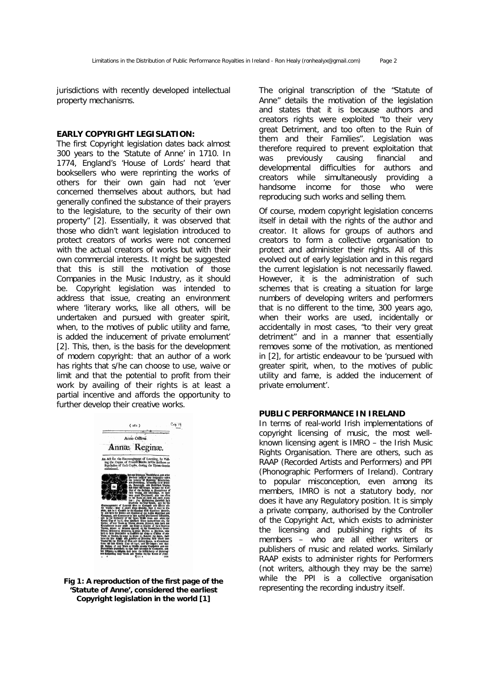jurisdictions with recently developed intellectual property mechanisms.

### **EARLY COPYRIGHT LEGISLATION:**

The first Copyright legislation dates back almost 300 years to the 'Statute of Anne' in 1710. In 1774, England's 'House of Lords' heard that booksellers who were reprinting the works of others for their own gain had not '*ever concerned themselves about authors, but had generally confined the substance of their prayers to the legislature, to the security of their own property*" [2]. Essentially, it was observed that those who didn't want legislation introduced to protect creators of works were not concerned with the actual creators of works but with their own commercial interests. It might be suggested that this is still the motivation of those Companies in the Music Industry, as it should be. Copyright legislation was intended to address that issue, creating an environment where '*literary works, like all others, will be undertaken and pursued with greater spirit, when, to the motives of public utility and fame, is added the inducement of private emolument'* [2]. This, then, is the basis for the development of modern copyright: that an author of a work has rights that s/he can choose to use, waive or limit and that the potential to profit from their work by availing of their rights is at least a partial incentive and affords the opportunity to further develop their creative works.



**Fig 1: A reproduction of the first page of the 'Statute of Anne', considered the earliest Copyright legislation in the world [1]**

The original transcription of the "Statute of Anne" details the motivation of the legislation and states that it is because authors and creators rights were exploited "*to their very great Detriment, and too often to the Ruin of them and their Families*". Legislation was therefore required to prevent exploitation that was previously causing financial and developmental difficulties for authors and creators while simultaneously providing a handsome income for those who were reproducing such works and selling them.

Of course, modern copyright legislation concerns itself in detail with the rights of the author and creator. It allows for groups of authors and creators to form a collective organisation to protect and administer their rights. All of this evolved out of early legislation and in this regard the current legislation is not necessarily flawed. However, it is the *administration* of such schemes that is creating a situation for large numbers of developing writers and performers that is no different to the time, 300 years ago, when their works are used, incidentally or accidentally in most cases, "*to their very great detriment*" and in a manner that essentially removes some of the motivation, as mentioned in [2], for artistic endeavour to be *'pursued with greater spirit, when, to the motives of public utility and fame, is added the inducement of private emolument'.*

# **PUBLIC PERFORMANCE IN IRELAND**

In terms of real-world Irish implementations of copyright licensing of music, the most wellknown licensing agent is IMRO – the Irish Music Rights Organisation. There are others, such as RAAP (Recorded Artists and Performers) and PPI (Phonographic Performers of Ireland). Contrary to popular misconception, even among its members, IMRO is not a statutory body, nor does it have any Regulatory position. It is simply a private company, authorised by the Controller of the Copyright Act, which exists to administer the licensing and publishing rights of its members – who are all either writers or publishers of music and related works. Similarly RAAP exists to administer rights for Performers (not writers, although they may be the same) while the PPI is a collective organisation representing the recording industry itself.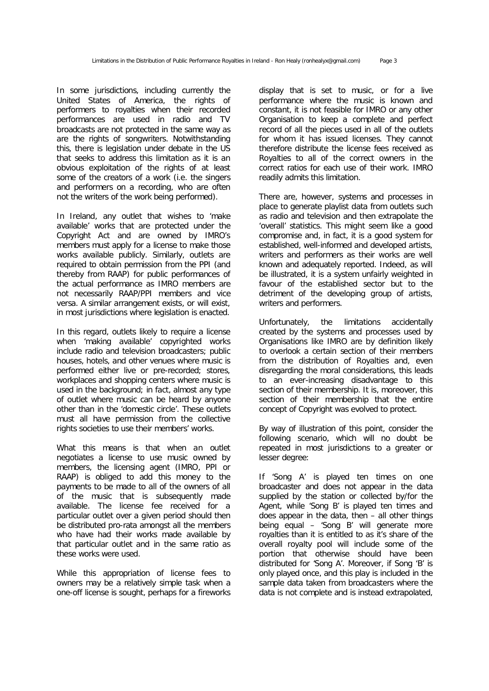In some jurisdictions, including currently the United States of America, the rights of *performers* to royalties when their recorded performances are used in radio and TV broadcasts are not protected in the same way as are the rights of *songwriters.* Notwithstanding this, there is legislation under debate in the US that seeks to address this limitation as it is an obvious exploitation of the rights of at least *some* of the creators of a work (i.e. the singers and performers on a recording, who are often not the writers of the work being performed).

In Ireland, any outlet that wishes to 'make available' works that are protected under the Copyright Act *and are owned by IMRO's members* must apply for a license to make those works available publicly. Similarly, outlets are required to obtain permission from the PPI (and thereby from RAAP) for public performances of the actual *performance* as IMRO members are not necessarily RAAP/PPI members and *vice versa*. A similar arrangement exists, or will exist, in most jurisdictions where legislation is enacted.

In this regard, outlets likely to require a license when 'making available' copyrighted works include radio and television broadcasters; public houses, hotels, and other venues where music is performed either live or pre-recorded; stores, workplaces and shopping centers where music is used in the background; in fact, almost any type of outlet where music can be heard by anyone other than in the 'domestic circle'. These outlets must all have permission from the collective rights societies to use their members' works.

What this means is that when an outlet negotiates a license to use music owned by members, the licensing agent (IMRO, PPI or RAAP) is obliged to add this money to the payments to be made to *all* of the owners of *all* of the music that is subsequently made available. The license fee received for a particular outlet over a given period should then be distributed pro-rata amongst all the members who have had their works made available *by that particular outlet and in the same ratio as these works were used*.

While this appropriation of license fees to owners may be a relatively simple task when a one-off license is sought, perhaps for a fireworks display that is set to music, or for a live performance where the music is known and constant, it is not feasible for IMRO or any other Organisation to keep a complete and perfect record of all the pieces used in *all* of the outlets for whom it has issued licenses. They cannot therefore distribute the license fees received as Royalties to *all* of the correct owners in the correct ratios for each use of their work. IMRO readily admits this limitation.

There are, however, systems and processes in place to generate playlist data from outlets such as radio and television and then extrapolate the 'overall' statistics. This might seem like a good compromise and, in fact, it is a good system for established, well-informed and developed artists, writers and performers as their works are well known and adequately reported. Indeed, as will be illustrated, it is a system unfairly weighted in favour of the established sector but to the detriment of the developing group of artists, writers and performers.

Unfortunately, the limitations accidentally created by the systems and processes used by Organisations like IMRO are by definition likely to overlook a certain section of their members from the distribution of Royalties and, even disregarding the moral considerations, this leads to an ever-increasing disadvantage to this section of their membership. It is, moreover, this section of their membership that the entire concept of Copyright was evolved to protect.

By way of illustration of this point, consider the following scenario, which will no doubt be repeated in most jurisdictions to a greater or lesser degree:

If 'Song A' is played ten times on one broadcaster and does not appear in the data supplied by the station or collected by/for the Agent, while 'Song B' is played ten times and does appear in the data, then – all other things being equal – 'Song B' will generate more royalties than it is entitled to as it's share of the overall royalty pool will include some of the portion that otherwise should have been distributed for 'Song A'. Moreover, if Song 'B' is only played once, and this play is included in the sample data taken from broadcasters where the data is not complete and is instead extrapolated,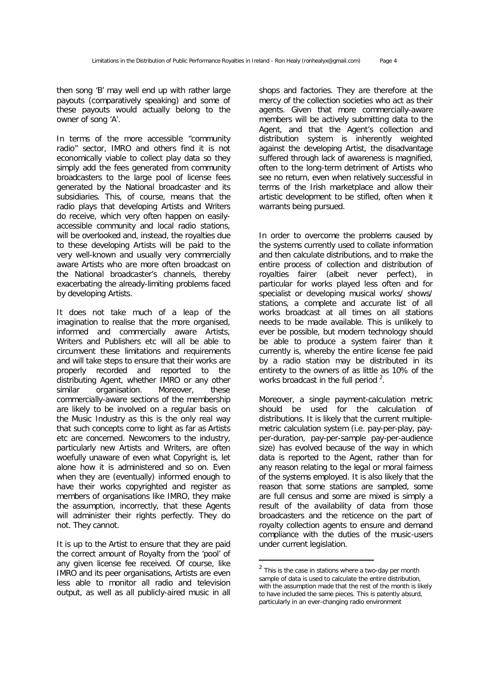then song 'B' may well end up with rather large payouts (comparatively speaking) and some of these payouts would actually belong to the owner of song 'A'.

In terms of the more accessible "community radio" sector, IMRO and others find it is not economically viable to collect play data so they simply add the fees generated from community broadcasters to the large pool of license fees generated by the National broadcaster and its subsidiaries. This, of course, means that the radio plays that developing Artists and Writers *do* receive, which very often happen on easilyaccessible community and local radio stations, will be overlooked and, instead, the royalties due to these developing Artists will be paid to the very well-known and usually very commercially aware Artists who are more often broadcast on the National broadcaster's channels, thereby exacerbating the already-limiting problems faced by developing Artists.

It does not take much of a leap of the imagination to realise that the more organised, informed and commercially aware Artists, Writers and Publishers etc will all be able to circumvent these limitations and requirements and will take steps to ensure that their works are properly recorded and reported to the distributing Agent, whether IMRO or any other similar organisation. Moreover, these commercially-aware sections of the membership are likely to be involved on a regular basis on the Music Industry as this is the only real way that such concepts come to light as far as Artists etc are concerned. Newcomers to the industry, particularly new Artists and Writers, are often woefully unaware of even what Copyright is, let alone how it is administered and so on. Even when they are (eventually) informed enough to have their works copyrighted and register as members of organisations like IMRO, they make the assumption, incorrectly, that these Agents will administer their rights perfectly. They do not. They cannot.

It is up to the Artist to ensure that they are paid the correct amount of Royalty from the 'pool' of any given license fee received. Of course, like IMRO and its peer organisations, Artists are even less able to monitor all radio and television output, as well as all publicly-aired music in all shops and factories. They are therefore at the mercy of the collection societies who act as their agents. Given that more commercially-aware members will be actively submitting data to the Agent, and that the Agent's collection and distribution system is inherently weighted against the developing Artist, the disadvantage suffered through lack of awareness is magnified, often to the long-term detriment of Artists who see no return, even when relatively successful in terms of the Irish marketplace and allow their artistic development to be stifled, often when it warrants being pursued.

In order to overcome the problems caused by the systems currently used to collate information and then calculate distributions, and to make the entire process of collection and distribution of royalties fairer (albeit never perfect), in particular for works played less often and for specialist or developing musical works/ shows/ stations, a complete and accurate list of *all* works broadcast at *all* times on *all* stations needs to be made available. This is unlikely to ever be possible, but modern technology should be able to produce a system fairer than it currently is, whereby the entire license fee paid by a radio station may be distributed in its entirety to the owners of as little as 10% of the works broadcast in the full period  $2$ .

Moreover, a single payment-calculation metric should be used for the calculation of distributions. It is likely that the current multiplemetric calculation system (i.e. pay-per-play, payper-duration, pay-per-sample pay-per-audience size) has evolved because of the way in which data is reported to the Agent, rather than for any reason relating to the legal or moral fairness of the systems employed. It is also likely that the reason that some stations are sampled, some are full census and some are mixed is simply a result of the availability of data from those broadcasters and the reticence on the part of royalty collection agents to ensure and demand compliance with the duties of the music-users under current legislation.

 $\overline{a}$ 

 $2$  This is the case in stations where a two-day per month sample of data is used to calculate the entire distribution, with the assumption made that the rest of the month is likely to have included the same pieces. This is patently absurd, particularly in an ever-changing radio environment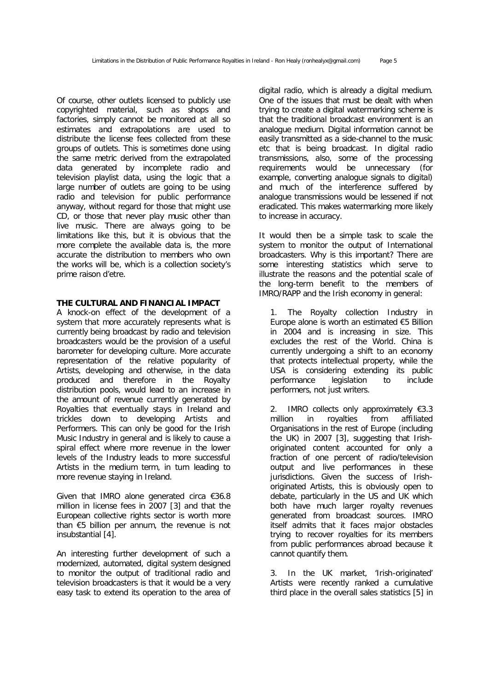Of course, other outlets licensed to publicly use copyrighted material, such as shops and factories, simply cannot be monitored at all so estimates and extrapolations are used to distribute the license fees collected from these groups of outlets. This is sometimes done using the same metric derived from the extrapolated data generated by incomplete radio and television playlist data, using the logic that a large number of outlets are going to be using radio and television for public performance anyway, without regard for those that might use CD, or those that never play music other than live music. There are always going to be limitations like this, but it is obvious that the more complete the available data is, the more accurate the distribution to members who own the works will be, which is a collection society's prime *raison d'etre*.

# **THE CULTURAL AND FINANCIAL IMPACT**

A knock-on effect of the development of a system that more accurately represents what is currently being broadcast by radio and television broadcasters would be the provision of a useful barometer for developing culture. More accurate representation of the relative popularity of Artists, developing and otherwise, in the data produced and therefore in the Royalty distribution pools, would lead to an increase in the amount of revenue currently generated by Royalties that eventually stays in Ireland and trickles down to developing Artists and Performers. This can only be good for the Irish Music Industry in general and is likely to cause a spiral effect where more revenue in the lower levels of the Industry leads to more successful Artists in the medium term, in turn leading to more revenue staying in Ireland.

Given that IMRO alone generated circa €36.8 million in license fees in 2007 [3] and that the European collective rights sector is worth more than €5 billion per annum, the revenue is not insubstantial [4].

An interesting further development of such a modernized, automated, digital system designed to monitor the output of traditional radio and television broadcasters is that it would be a very easy task to extend its operation to the area of digital radio, which is already a digital medium. One of the issues that must be dealt with when trying to create a digital watermarking scheme is that the traditional broadcast environment is an analogue medium. Digital information cannot be easily transmitted as a side-channel to the music etc that is being broadcast. In digital radio transmissions, also, some of the processing requirements would be unnecessary (for example, converting analogue signals to digital) and much of the interference suffered by analogue transmissions would be lessened if not eradicated. This makes watermarking more likely to increase in accuracy.

It would then be a simple task to scale the system to monitor the output of International broadcasters. Why is this important? There are some interesting statistics which serve to illustrate the reasons and the potential scale of the long-term benefit to the members of IMRO/RAPP and the Irish economy in general:

1. The Royalty collection Industry in Europe alone is worth an estimated €5 Billion in 2004 and is increasing in size. This excludes the rest of the World. China is currently undergoing a shift to an economy that protects intellectual property, while the USA is considering extending its public performance legislation to inc lude performers, not just writers.

2. IMRO collects only approximately  $€3.3$ million in royalties from affiliated Organisations in the rest of Europe (including the UK) in 2007 [3], suggesting that Irishoriginated content accounted for only a fraction of one percent of radio/television output and live performances in these jurisdictions. Given the success of Irishoriginated Artists, this is obviously open to debate, particularly in the US and UK which both have much larger royalty revenues generated from broadcast sources. IMRO itself admits that it faces major obstacles trying to recover royalties for its members from public performances abroad because it cannot quantify them.

3. In the UK market, 'Irish-originated' Artists were recently ranked a cumulative third place in the overall sales statistics [5] in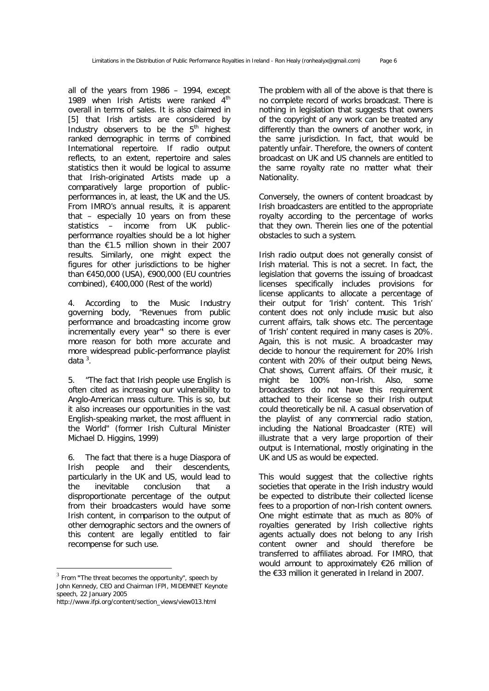all of the years from 1986 – 1994, except 1989 when Irish Artists were ranked  $4<sup>th</sup>$ overall in terms of sales. It is also claimed in [5] that Irish artists are considered by Industry observers to be the  $5<sup>th</sup>$  highest ranked demographic in terms of combined International repertoire. If radio output reflects, to an extent, repertoire and sales statistics then it would be logical to assume that Irish-originated Artists made up a comparatively large proportion of publicperformances in, at least, the UK and the US. From IMRO's annual results, it is apparent that – especially 10 years on from these statistics – income from UK publicperformance royalties should be a lot higher than the €1.5 million shown in their 2007 results. Similarly, one might expect the figures for other jurisdictions to be higher than €450,000 (USA), €900,000 (EU countries combined),  $€400,000$  (Rest of the world)

4. According to the Music Industry governing body, "*Revenues from public performance and broadcasting income grow incrementally every year*<sup>"</sup> so there is ever more reason for both more accurate and more widespread public-performance playlist data<sup>3</sup>.

5. *"The fact that Irish people use English is often cited as increasing our vulnerability to Anglo-American mass culture. This is so, but it also increases our opportunities in the vast English-speaking market, the most affluent in the World"* (former Irish Cultural Minister Michael D. Higgins, 1999)

6. The fact that there is a huge Diaspora of Irish people and their descendents, particularly in the UK and US, would lead to the inevitable conclusion that a disproportionate percentage of the output from their broadcasters would have some Irish content, in comparison to the output of other demographic sectors and the owners of this content are legally entitled to fair recompense for such use.

-

The problem with all of the above is that there is no complete record of works broadcast. There is nothing in legislation that suggests that owners of the copyright of any work can be treated any differently than the owners of another work, in the same jurisdiction. In fact, that would be patently unfair. Therefore, the owners of content broadcast on UK and US channels are entitled to the same royalty rate no matter what their Nationality.

Conversely, the owners of content broadcast by Irish broadcasters are entitled to the appropriate royalty according to the percentage of works that they own. Therein lies one of the potential obstacles to such a system.

Irish radio output does not generally consist of Irish material. This is not a secret. In fact, the legislation that governs the issuing of broadcast licenses specifically includes provisions for license applicants to allocate a percentage of their output for 'Irish' content. This 'Irish' content does not only include music but also current affairs, talk shows etc. The percentage of 'Irish' content required in many cases is 20%. Again, this is not music. A broadcaster may decide to honour the requirement for 20% Irish content with 20% of their output being News, Chat shows, Current affairs. Of their music, it might be 100% non-Irish. Also, some broadcasters do not have this requirement attached to their license so their Irish output could theoretically be nil. A casual observation of the playlist of any commercial radio station, including the National Broadcaster (RTE) will illustrate that a very large proportion of their output is International, mostly originating in the UK and US as would be expected.

This would suggest that the collective rights societies that operate in the Irish industry would be expected to distribute their collected license fees to a proportion of non-Irish content owners. One might estimate that as much as 80% of royalties generated by Irish collective rights agents actually does not belong to any Irish content owner and should therefore be transferred to affiliates abroad. For IMRO, that would amount to approximately €26 million of the €33 million it generated in Ireland in 2007.

<sup>3</sup> From **"**The threat becomes the opportunity", speech by John Kennedy, CEO and Chairman IFPI, MIDEMNET Keynote speech, 22 January 2005

http://www.ifpi.org/content/section\_views/view013.html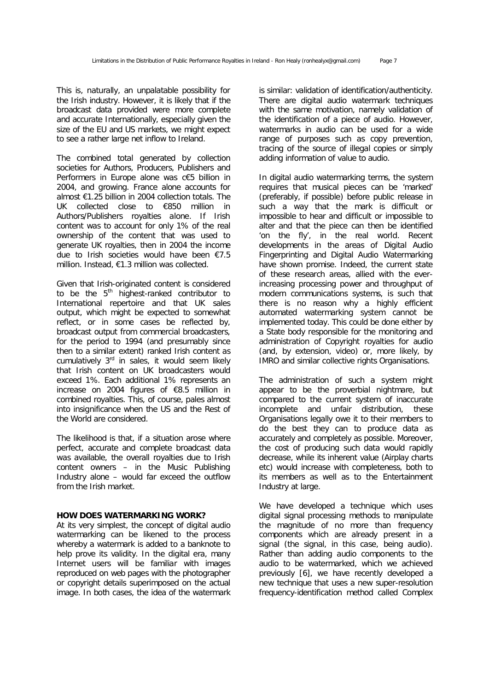This is, naturally, an unpalatable possibility for the Irish industry. However, it is likely that if the broadcast data provided were more complete and accurate Internationally, especially given the size of the EU and US markets, we might expect to see a rather large net inflow to Ireland.

The combined total generated by collection societies for Authors, Producers, Publishers and Performers in Europe alone was c€5 billion in 2004, and growing. France alone accounts for almost €1.25 billion in 2004 collection totals. The UK collected close to €850 million in Authors/Publishers royalties alone. If Irish content was to account for only 1% of the real ownership of the content that was used to generate UK royalties, then in 2004 the income due to Irish societies would have been  $£7.5$ million. Instead, €1.3 million was collected.

Given that Irish-originated content is considered to be the  $5<sup>th</sup>$  highest-ranked contributor to International repertoire and that UK sales output, which might be expected to somewhat reflect, or in some cases be reflected by, broadcast output from commercial broadcasters, for the period to 1994 (and presumably since then to a similar extent) ranked Irish content as cumulatively  $3<sup>rd</sup>$  in sales, it would seem likely that Irish content on UK broadcasters would exceed 1%. Each additional 1% represents an increase on 2004 figures of €8.5 million in combined royalties. This, of course, pales almost into insignificance when the US and the Rest of the World are considered.

The likelihood is that, if a situation arose where perfect, accurate and complete broadcast data was available, the overall royalties due to Irish content owners – in the Music Publishing Industry alone – would far exceed the outflow from the Irish market.

#### **HOW DOES WATERMARKING WORK?**

At its very simplest, the concept of digital audio watermarking can be likened to the process whereby a watermark is added to a banknote to help prove its validity. In the digital era, many Internet users will be familiar with images reproduced on web pages with the photographer or copyright details superimposed on the actual image. In both cases, the idea of the watermark

is similar: validation of identification/authenticity. There are digital audio watermark techniques with the same motivation, namely validation of the identification of a piece of audio. However, watermarks in audio can be used for a wide range of purposes such as copy prevention, tracing of the source of illegal copies or simply adding information of value to audio.

In digital audio watermarking terms, the system requires that musical pieces can be 'marked' (preferably, if possible) before public release in such a way that the mark is difficult or impossible to hear and difficult or impossible to alter and that the piece can then be identified 'on the fly', in the real world. Recent developments in the areas of Digital Audio Fingerprinting and Digital Audio Watermarking have shown promise. Indeed, the current state of these research areas, allied with the everincreasing processing power and throughput of modern communications systems, is such that there is no reason why a highly efficient automated watermarking system cannot be implemented today. This could be done either by a State body responsible for the monitoring and administration of Copyright royalties for audio (and, by extension, video) or, more likely, by IMRO and similar collective rights Organisations.

The administration of such a system might appear to be the proverbial nightmare, but compared to the current system of inaccurate incomplete and unfair distribution, these Organisations legally owe it to their members to do the best they can to produce data as accurately and completely as possible. Moreover, the cost of producing such data would rapidly decrease, while its inherent value (Airplay charts etc) would increase with completeness, both to its members as well as to the Entertainment Industry at large.

We have developed a technique which uses digital signal processing methods to manipulate the magnitude of no more than frequency components which are already present in a signal (the signal, in this case, being audio). Rather than adding audio components to the audio to be watermarked, which we achieved previously [6], we have recently developed a new technique that uses a new super-resolution frequency-identification method called *Complex*